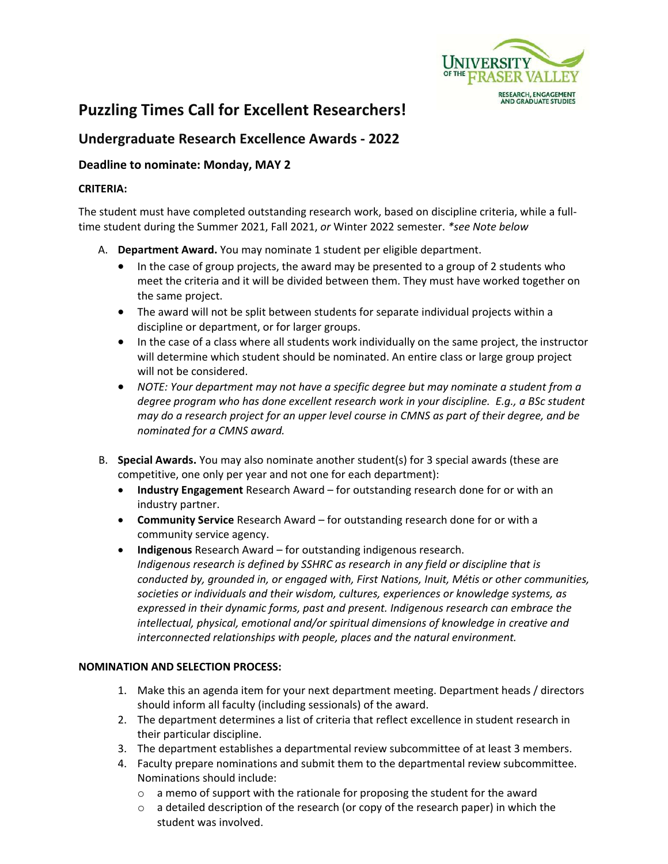

# **Puzzling Times Call for Excellent Researchers!**

## **Undergraduate Research Excellence Awards ‐ 2022**

### **Deadline to nominate: Monday, MAY 2**

#### **CRITERIA:**

The student must have completed outstanding research work, based on discipline criteria, while a full‐ time student during the Summer 2021, Fall 2021, *or* Winter 2022 semester. *\*see Note below*

- A. **Department Award.** You may nominate 1 student per eligible department.
	- In the case of group projects, the award may be presented to a group of 2 students who meet the criteria and it will be divided between them. They must have worked together on the same project.
	- The award will not be split between students for separate individual projects within a discipline or department, or for larger groups.
	- In the case of a class where all students work individually on the same project, the instructor will determine which student should be nominated. An entire class or large group project will not be considered.
	- *NOTE: Your department may not have a specific degree but may nominate a student from a degree program who has done excellent research work in your discipline. E.g., a BSc student may do a research project for an upper level course in CMNS as part of their degree, and be nominated for a CMNS award.*
- B. **Special Awards.** You may also nominate another student(s) for 3 special awards (these are competitive, one only per year and not one for each department):
	- **Industry Engagement** Research Award for outstanding research done for or with an industry partner.
	- **Community Service** Research Award for outstanding research done for or with a community service agency.
	- **Indigenous** Research Award for outstanding indigenous research. *Indigenous research is defined by SSHRC as research in any field or discipline that is conducted by, grounded in, or engaged with, First Nations, Inuit, Métis or other communities, societies or individuals and their wisdom, cultures, experiences or knowledge systems, as expressed in their dynamic forms, past and present. Indigenous research can embrace the intellectual, physical, emotional and/or spiritual dimensions of knowledge in creative and interconnected relationships with people, places and the natural environment.*

#### **NOMINATION AND SELECTION PROCESS:**

- 1. Make this an agenda item for your next department meeting. Department heads / directors should inform all faculty (including sessionals) of the award.
- 2. The department determines a list of criteria that reflect excellence in student research in their particular discipline.
- 3. The department establishes a departmental review subcommittee of at least 3 members.
- 4. Faculty prepare nominations and submit them to the departmental review subcommittee. Nominations should include:
	- $\circ$  a memo of support with the rationale for proposing the student for the award
	- $\circ$  a detailed description of the research (or copy of the research paper) in which the student was involved.